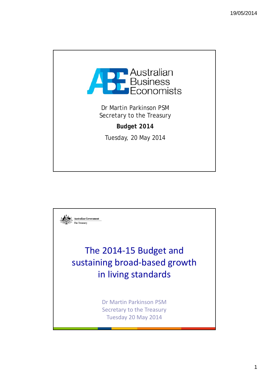

Dr Martin Parkinson PSM Secretary to the Treasury

*Budget 2014*

Tuesday, 20 May 2014

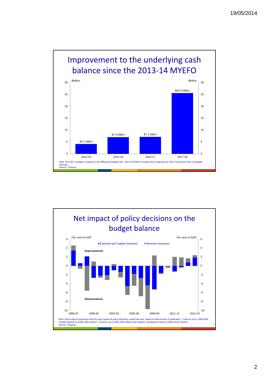

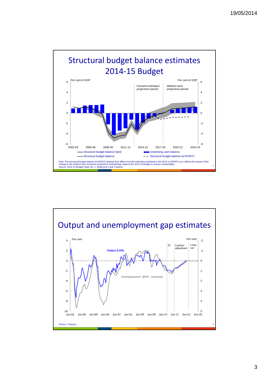



3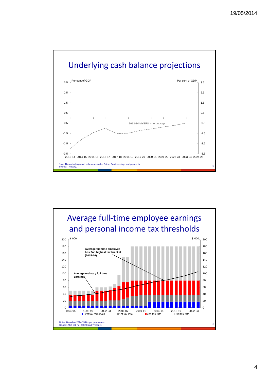

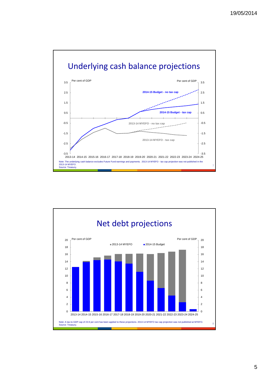

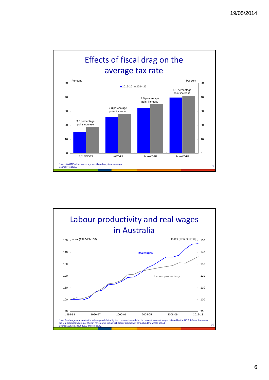

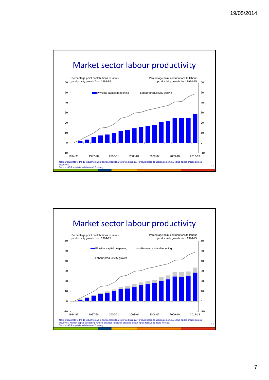

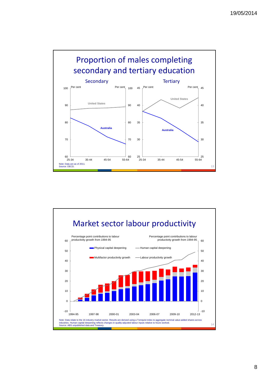

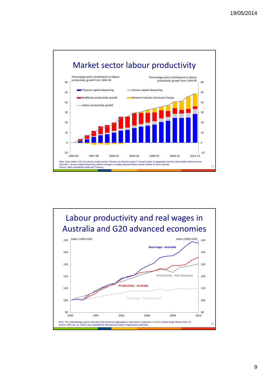



## 9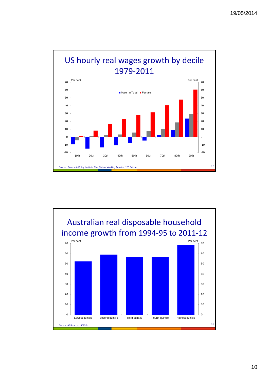

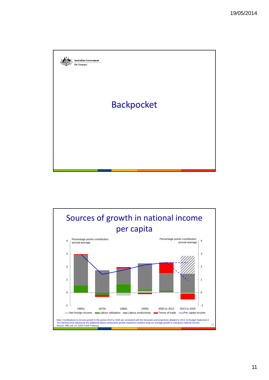

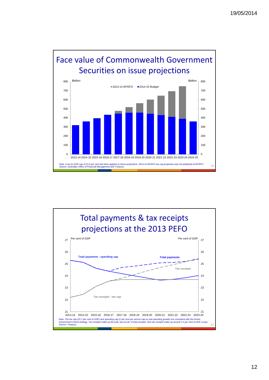

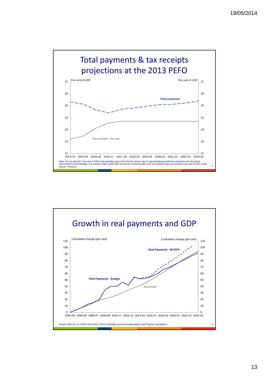